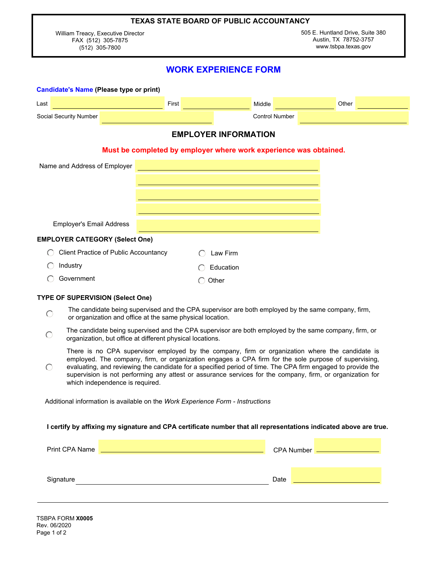### **TEXAS STATE BOARD OF PUBLIC ACCOUNTANCY**

William Treacy, Executive Director FAX (512) 305-7875 (512) 305-7800

# **WORK EXPERIENCE FORM**

| <b>Candidate's Name (Please type or print)</b> |                                       |              |                                                                   |       |  |
|------------------------------------------------|---------------------------------------|--------------|-------------------------------------------------------------------|-------|--|
| Last                                           |                                       | <b>First</b> | Middle                                                            | Other |  |
| Social Security Number                         |                                       |              | <b>Control Number</b>                                             |       |  |
|                                                |                                       |              | <b>EMPLOYER INFORMATION</b>                                       |       |  |
|                                                |                                       |              | Must be completed by employer where work experience was obtained. |       |  |
| Name and Address of Employer                   |                                       |              |                                                                   |       |  |
|                                                |                                       |              |                                                                   |       |  |
|                                                |                                       |              |                                                                   |       |  |
|                                                |                                       |              |                                                                   |       |  |
| <b>Employer's Email Address</b>                |                                       |              |                                                                   |       |  |
| <b>EMPLOYER CATEGORY (Select One)</b>          |                                       |              |                                                                   |       |  |
|                                                | Client Practice of Public Accountancy |              | Law Firm                                                          |       |  |
| Industry                                       |                                       |              | Education                                                         |       |  |
| Government                                     |                                       |              | Other                                                             |       |  |

### **TYPE OF SUPERVISION (Select One)**

- The candidate being supervised and the CPA supervisor are both employed by the same company, firm,  $\bigcirc$ or organization and office at the same physical location.
- The candidate being supervised and the CPA supervisor are both employed by the same company, firm, or  $\bigcap$ organization, but office at different physical locations.

There is no CPA supervisor employed by the company, firm or organization where the candidate is employed. The company, firm, or organization engages a CPA firm for the sole purpose of supervising,

 $\bigcap$ evaluating, and reviewing the candidate for a specified period of time. The CPA firm engaged to provide the supervision is not performing any attest or assurance services for the company, firm, or organization for which independence is required.

Additional information is available on the *Work Experience Form - Instructions* 

#### **I certify by affixing my signature and CPA certificate number that all representations indicated above are true.**

| Print CPA Name |      | <b>CPA Number</b> |
|----------------|------|-------------------|
|                |      |                   |
| Signature      | Date |                   |
|                |      |                   |

TSBPA FORM **X0005** Rev. 06/2020 Page 1 of 2